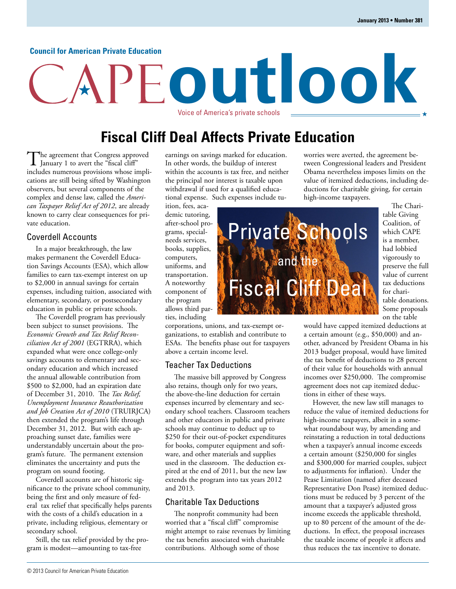#### **Council for American Private Education**

# **outlook** Voice of America's private schools

**Fiscal Cliff Deal Affects Private Education**

The agreement that Congress approved<br>January 1 to avert the "fiscal cliff" includes numerous provisions whose implications are still being sifted by Washington observers, but several components of the complex and dense law, called the *American Taxpayer Relief Act of 2012*, are already known to carry clear consequences for private education.

#### Coverdell Accounts

In a major breakthrough, the law makes permanent the Coverdell Education Savings Accounts (ESA), which allow families to earn tax-exempt interest on up to \$2,000 in annual savings for certain expenses, including tuition, associated with elementary, secondary, or postsecondary education in public or private schools.

The Coverdell program has previously been subject to sunset provisions. The *Economic Growth and Tax Relief Reconciliation Act of 2001* (EGTRRA), which expanded what were once college-only savings accounts to elementary and secondary education and which increased the annual allowable contribution from \$500 to \$2,000, had an expiration date of December 31, 2010. The *Tax Relief, Unemployment Insurance Reauthorization and Job Creation Act of 2010* (TRUIRJCA) then extended the program's life through December 31, 2012. But with each approaching sunset date, families were understandably uncertain about the program's future. The permanent extension eliminates the uncertainty and puts the program on sound footing.

Coverdell accounts are of historic significance to the private school community, being the first and only measure of federal tax relief that specifically helps parents with the costs of a child's education in a private, including religious, elementary or secondary school.

Still, the tax relief provided by the program is modest—amounting to tax-free

earnings on savings marked for education. In other words, the buildup of interest within the accounts is tax free, and neither the principal nor interest is taxable upon withdrawal if used for a qualified educational expense. Such expenses include tu-

ition, fees, academic tutoring, after-school programs, specialneeds services, books, supplies, computers, uniforms, and transportation. A noteworthy component of the program allows third parties, including

corporations, unions, and tax-exempt organizations, to establish and contribute to ESAs. The benefits phase out for taxpayers above a certain income level.

#### Teacher Tax Deductions

The massive bill approved by Congress also retains, though only for two years, the above-the-line deduction for certain expenses incurred by elementary and secondary school teachers. Classroom teachers and other educators in public and private schools may continue to deduct up to \$250 for their out-of-pocket expenditures for books, computer equipment and software, and other materials and supplies used in the classroom. The deduction expired at the end of 2011, but the new law extends the program into tax years 2012 and 2013.

#### Charitable Tax Deductions

The nonprofit community had been worried that a "fiscal cliff" compromise might attempt to raise revenues by limiting the tax benefits associated with charitable contributions. Although some of those

worries were averted, the agreement between Congressional leaders and President Obama nevertheless imposes limits on the value of itemized deductions, including deductions for charitable giving, for certain high-income taxpayers.

The Charitable Giving Coalition, of which CAPE is a member, had lobbied vigorously to preserve the full value of current tax deductions for charitable donations. Some proposals on the table

would have capped itemized deductions at a certain amount (e.g., \$50,000) and another, advanced by President Obama in his 2013 budget proposal, would have limited the tax benefit of deductions to 28 percent of their value for households with annual incomes over \$250,000. The compromise agreement does not cap itemized deductions in either of these ways.

However, the new law still manages to reduce the value of itemized deductions for high-income taxpayers, albeit in a somewhat roundabout way, by amending and reinstating a reduction in total deductions when a taxpayer's annual income exceeds a certain amount (\$250,000 for singles and \$300,000 for married couples, subject to adjustments for inflation). Under the Pease Limitation (named after deceased Representative Don Pease) itemized deductions must be reduced by 3 percent of the amount that a taxpayer's adjusted gross income exceeds the applicable threshold, up to 80 percent of the amount of the deductions. In effect, the proposal increases the taxable income of people it affects and thus reduces the tax incentive to donate.

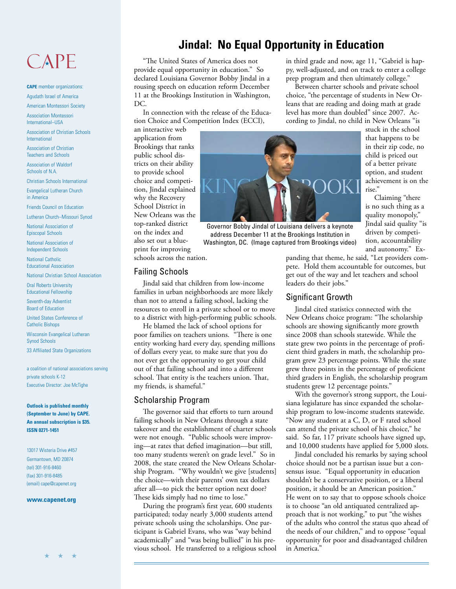## CAPE

**CAPE** member organizations: Agudath Israel of America

American Montessori Society

Association Montessori International–USA

Association of Christian Schools International

Association of Christian Teachers and Schools

Association of Waldorf Schools of N.A.

Christian Schools International

Evangelical Lutheran Church in America

Friends Council on Education

Lutheran Church–Missouri Synod

National Association of Episcopal Schools

National Association of Independent Schools

National Catholic Educational Association

National Christian School Association

Oral Roberts University Educational Fellowship

Seventh-day Adventist Board of Education

United States Conference of Catholic Bishops

Wisconsin Evangelical Lutheran Synod Schools

33 Affiliated State Organizations

a coalition of national associations serving private schools K-12 Executive Director: Joe McTighe

**Outlook is published monthly (September to June) by CAPE. An annual subscription is \$35. ISSN 0271-1451**

13017 Wisteria Drive #457 Germantown, MD 20874 (tel) 301-916-8460 (fax) 301-916-8485 (email) cape@capenet.org

#### **www.capenet.org**

## **Jindal: No Equal Opportunity in Education**

"The United States of America does not provide equal opportunity in education." So declared Louisiana Governor Bobby Jindal in a rousing speech on education reform December 11 at the Brookings Institution in Washington, DC.

In connection with the release of the Education Choice and Competition Index (ECCI),

an interactive web application from Brookings that ranks public school districts on their ability to provide school choice and competition, Jindal explained why the Recovery School District in New Orleans was the top-ranked district on the index and also set out a blueprint for improving schools across the nation.

#### Failing Schools

Jindal said that children from low-income families in urban neighborhoods are more likely than not to attend a failing school, lacking the resources to enroll in a private school or to move to a district with high-performing public schools.

He blamed the lack of school options for poor families on teachers unions. "There is one entity working hard every day, spending millions of dollars every year, to make sure that you do not ever get the opportunity to get your child out of that failing school and into a different school. That entity is the teachers union. That, my friends, is shameful."

#### Scholarship Program

The governor said that efforts to turn around failing schools in New Orleans through a state takeover and the establishment of charter schools were not enough. "Public schools were improving—at rates that defied imagination—but still, too many students weren't on grade level." So in 2008, the state created the New Orleans Scholarship Program. "Why wouldn't we give [students] the choice—with their parents' own tax dollars after all—to pick the better option next door? These kids simply had no time to lose."

During the program's first year, 600 students participated; today nearly 3,000 students attend private schools using the scholarships. One participant is Gabriel Evans, who was "way behind academically" and "was being bullied" in his previous school. He transferred to a religious school in third grade and now, age 11, "Gabriel is happy, well-adjusted, and on track to enter a college prep program and then ultimately college."

Between charter schools and private school choice, "the percentage of students in New Orleans that are reading and doing math at grade level has more than doubled" since 2007. According to Jindal, no child in New Orleans "is

> stuck in the school that happens to be in their zip code, no child is priced out of a better private option, and student achievement is on the rise."

Claiming "there is no such thing as a quality monopoly," Jindal said quality "is driven by competition, accountability and autonomy." Ex-

panding that theme, he said, "Let providers compete. Hold them accountable for outcomes, but get out of the way and let teachers and school leaders do their jobs."

#### Significant Growth

Jindal cited statistics connected with the New Orleans choice program: "The scholarship schools are showing significantly more growth since 2008 than schools statewide. While the state grew two points in the percentage of proficient third graders in math, the scholarship program grew 23 percentage points. While the state grew three points in the percentage of proficient third graders in English, the scholarship program students grew 12 percentage points."

With the governor's strong support, the Louisiana legislature has since expanded the scholarship program to low-income students statewide. "Now any student at a C, D, or F rated school can attend the private school of his choice," he said. So far, 117 private schools have signed up, and 10,000 students have applied for 5,000 slots.

Jindal concluded his remarks by saying school choice should not be a partisan issue but a consensus issue. "Equal opportunity in education shouldn't be a conservative position, or a liberal position, it should be an American position." He went on to say that to oppose schools choice is to choose "an old antiquated centralized approach that is not working," to put "the wishes of the adults who control the status quo ahead of the needs of our children," and to oppose "equal opportunity for poor and disadvantaged children in America."



Governor Bobby Jindal of Louisiana delivers a keynote address December 11 at the Brookings Institution in Washington, DC. (Image captured from Brookings video)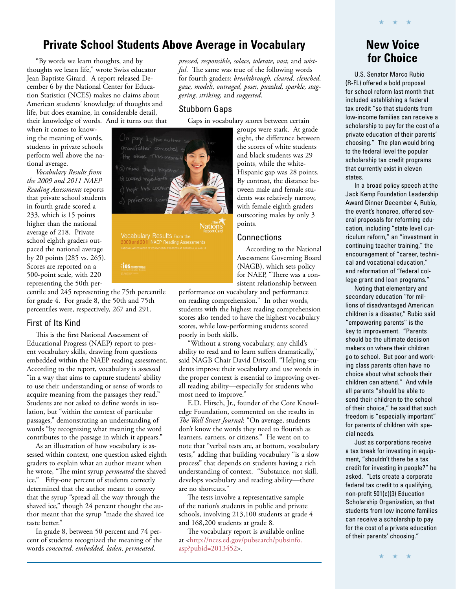### **Private School Students Above Average in Vocabulary**

thoughts we learn life," wrote Swiss educator Jean Baptiste Girard. A report released December 6 by the National Center for Education Statistics (NCES) makes no claims about American students' knowledge of thoughts and life, but does examine, in considerable detail, their knowledge of words. And it turns out that

when it comes to knowing the meaning of words, students in private schools perform well above the national average.

*Vocabulary Results from the 2009 and 2011 NAEP Reading Assessments* reports that private school students in fourth grade scored a 233, which is 15 points higher than the national average of 218. Private school eighth graders outpaced the national average by 20 points (285 vs. 265). Scores are reported on a 500-point scale, with 220 representing the 50th per-

centile and 245 representing the 75th percentile for grade 4. For grade 8, the 50th and 75th percentiles were, respectively, 267 and 291.

#### First of Its Kind

This is the first National Assessment of Educational Progress (NAEP) report to present vocabulary skills, drawing from questions embedded within the NAEP reading assessment. According to the report, vocabulary is assessed "in a way that aims to capture students' ability to use their understanding or sense of words to acquire meaning from the passages they read." Students are not asked to define words in isolation, but "within the context of particular passages," demonstrating an understanding of words "by recognizing what meaning the word contributes to the passage in which it appears."

As an illustration of how vocabulary is assessed within context, one question asked eighth graders to explain what an author meant when he wrote, "The mint syrup *permeated* the shaved ice." Fifty-one percent of students correctly determined that the author meant to convey that the syrup "spread all the way through the shaved ice," though 24 percent thought the author meant that the syrup "made the shaved ice taste better."

In grade 8, between 50 percent and 74 percent of students recognized the meaning of the words *concocted, embedded, laden, permeated,* 

"By words we learn thoughts, and by **for Choice**  *pressed, responsible, solace, tolerate, vast,* and *wistful*. The same was true of the following words for fourth graders: *breakthrough, cleared, clenched, gaze, models, outraged, poses, puzzled, sparkle, staggering, striking,* and *suggested*.

#### Stubborn Gaps

Gaps in vocabulary scores between certain

groups were stark. At grade eight, the difference between the scores of white students and black students was 29 points, while the white-Hispanic gap was 28 points. By contrast, the distance between male and female students was relatively narrow, with female eighth graders outscoring males by only 3 points.

#### **Connections**

According to the National Assessment Governing Board (NAGB), which sets policy for NAEP, "There was a consistent relationship between

performance on vocabulary and performance on reading comprehension." In other words, students with the highest reading comprehension scores also tended to have the highest vocabulary scores, while low-performing students scored poorly in both skills.

"Without a strong vocabulary, any child's ability to read and to learn suffers dramatically," said NAGB Chair David Driscoll. "Helping students improve their vocabulary and use words in the proper context is essential to improving overall reading ability—especially for students who most need to improve."

E.D. Hirsch, Jr., founder of the Core Knowledge Foundation, commented on the results in *The Wall Street Journal*: "On average, students don't know the words they need to flourish as learners, earners, or citizens." He went on to note that "verbal tests are, at bottom, vocabulary tests," adding that building vocabulary "is a slow process" that depends on students having a rich understanding of context. "Substance, not skill, develops vocabulary and reading ability—there are no shortcuts."

The tests involve a representative sample of the nation's students in public and private schools, involving 213,100 students at grade 4 and 168,200 students at grade 8.

The vocabulary report is available online [at <http://nces.ed.gov/pubsearch/pubsinfo.](http://nces.ed.gov/pubsearch/pubsinfo.asp?pubid=2013452) asp?pubid=2013452>.

# **New Voice**

★ ★ ★

U.S. Senator Marco Rubio (R-FL) offered a bold proposal for school reform last month that included establishing a federal tax credit "so that students from low-income families can receive a scholarship to pay for the cost of a private education of their parents' choosing." The plan would bring to the federal level the popular scholarship tax credit programs that currently exist in eleven states.

In a broad policy speech at the Jack Kemp Foundation Leadership Award Dinner December 4, Rubio, the event's honoree, offered several proposals for reforming education, including "state level curriculum reform," an "investment in continuing teacher training," the encouragement of "career, technical and vocational education," and reformation of "federal college grant and loan programs."

Noting that elementary and secondary education "for millions of disadvantaged American children is a disaster," Rubio said "empowering parents" is the key to improvement. "Parents should be the ultimate decision makers on where their children go to school. But poor and working class parents often have no choice about what schools their children can attend." And while all parents "should be able to send their children to the school of their choice," he said that such freedom is "especially important" for parents of children with special needs.

Just as corporations receive a tax break for investing in equipment, "shouldn't there be a tax credit for investing in people?" he asked. "Lets create a corporate federal tax credit to a qualifying. non-profit 501(c)(3) Education Scholarship Organization, so that students from low income families can receive a scholarship to pay for the cost of a private education of their parents' choosing."

★ ★ ★